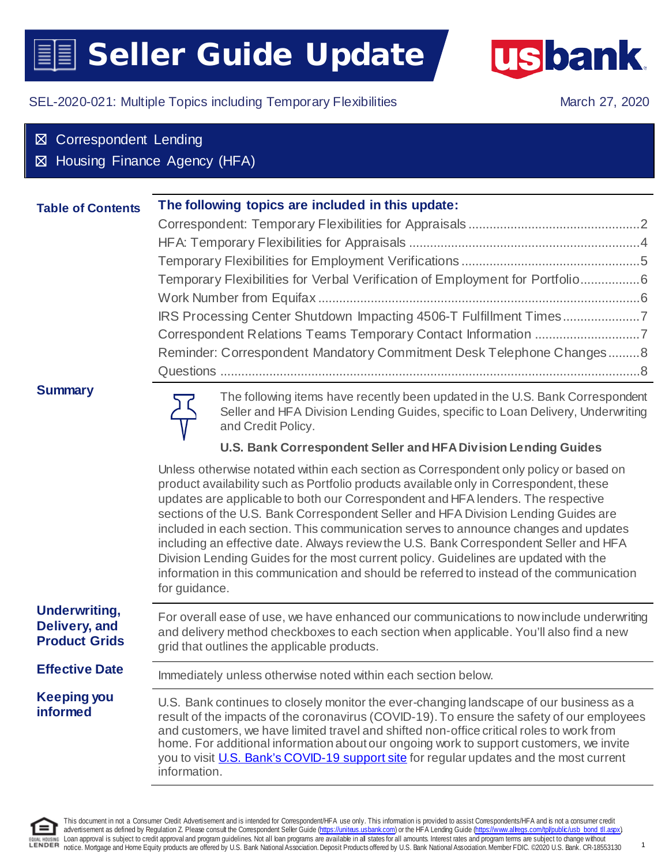

# SEL-2020-021: Multiple Topics including Temporary Flexibilities March 27, 2020

| <b>Correspondent Lending</b><br>⊠<br>Housing Finance Agency (HFA)<br>⊠ |                                                                                                                                                                                                                                                                                                                                                                                                                                                                                                                                                                                                                                                                                                                                                |  |  |  |
|------------------------------------------------------------------------|------------------------------------------------------------------------------------------------------------------------------------------------------------------------------------------------------------------------------------------------------------------------------------------------------------------------------------------------------------------------------------------------------------------------------------------------------------------------------------------------------------------------------------------------------------------------------------------------------------------------------------------------------------------------------------------------------------------------------------------------|--|--|--|
| <b>Table of Contents</b>                                               | The following topics are included in this update:<br>Temporary Flexibilities for Verbal Verification of Employment for Portfolio6<br>IRS Processing Center Shutdown Impacting 4506-T Fulfillment Times7<br>Correspondent Relations Teams Temporary Contact Information 7<br>Reminder: Correspondent Mandatory Commitment Desk Telephone Changes8                                                                                                                                                                                                                                                                                                                                                                                               |  |  |  |
| <b>Summary</b>                                                         | The following items have recently been updated in the U.S. Bank Correspondent<br>Seller and HFA Division Lending Guides, specific to Loan Delivery, Underwriting<br>and Credit Policy.<br>U.S. Bank Correspondent Seller and HFA Division Lending Guides                                                                                                                                                                                                                                                                                                                                                                                                                                                                                       |  |  |  |
|                                                                        | Unless otherwise notated within each section as Correspondent only policy or based on<br>product availability such as Portfolio products available only in Correspondent, these<br>updates are applicable to both our Correspondent and HFA lenders. The respective<br>sections of the U.S. Bank Correspondent Seller and HFA Division Lending Guides are<br>included in each section. This communication serves to announce changes and updates<br>including an effective date. Always review the U.S. Bank Correspondent Seller and HFA<br>Division Lending Guides for the most current policy. Guidelines are updated with the<br>information in this communication and should be referred to instead of the communication<br>for guidance. |  |  |  |

**Underwriting, Delivery, and Product Grids**

For overall ease of use, we have enhanced our communications to now include underwriting and delivery method checkboxes to each section when applicable. You'll also find a new grid that outlines the applicable products.

**Keeping you** 

**Effective Date** Immediately unless otherwise noted within each section below.

**informed** U.S. Bank continues to closely monitor the ever-changing landscape of our business as a result of the impacts of the coronavirus (COVID-19). To ensure the safety of our employees and customers, we have limited travel and shifted non-office critical roles to work from home. For additional information about our ongoing work to support customers, we invite you to visit [U.S. Bank's COVID-19 support site](https://www.usbank.com/splash/covid-19.html) for regular updates and the most current information.

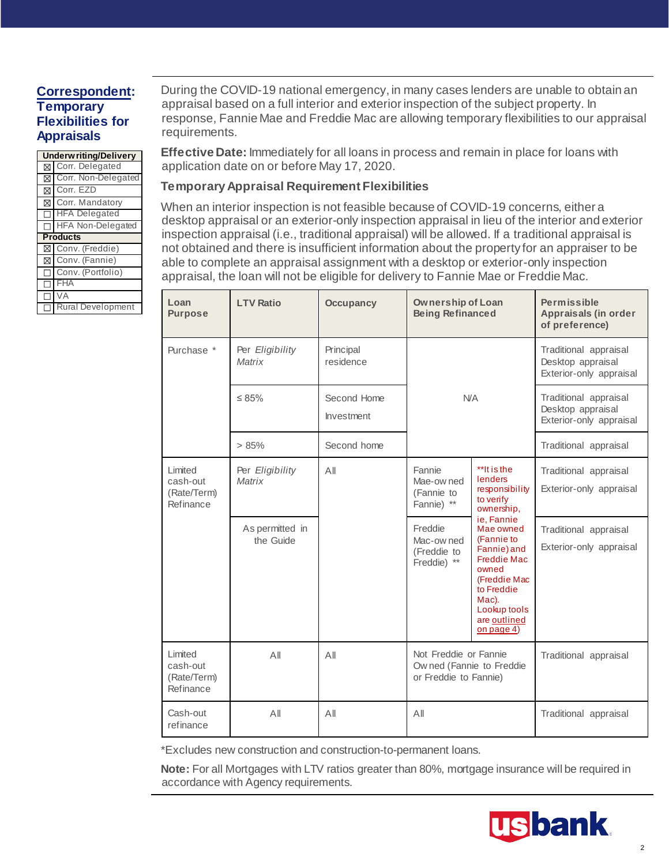# <span id="page-1-0"></span>**Correspondent: Temporary Flexibilities for Appraisals**

|   | <b>Underwriting/Delivery</b> |
|---|------------------------------|
|   | Corr. Delegated              |
|   | <b>⊠</b> Corr. Non-Delegated |
|   | Corr. EZD                    |
|   | ⊠ Corr. Mandatory            |
|   | □ HFA Delegated              |
|   | HFA Non-Delegated            |
|   | <b>Products</b>              |
|   |                              |
|   | ⊠ Conv. (Freddie)            |
|   | ⊠ Conv. (Fannie)             |
|   | Conv. (Portfolio)            |
| □ | <b>FHA</b>                   |
|   | <b>VA</b>                    |

During the COVID-19 national emergency, in many cases lenders are unable to obtain an appraisal based on a full interior and exterior inspection of the subject property. In response, Fannie Mae and Freddie Mac are allowing temporary flexibilities to our appraisal requirements.

**Effective Date:** Immediately for all loans in process and remain in place for loans with application date on or before May 17, 2020.

#### **Temporary Appraisal Requirement Flexibilities**

When an interior inspection is not feasible because of COVID-19 concerns, either a desktop appraisal or an exterior-only inspection appraisal in lieu of the interior and exterior inspection appraisal (i.e., traditional appraisal) will be allowed. If a traditional appraisal is not obtained and there is insufficient information about the property for an appraiser to be able to complete an appraisal assignment with a desktop or exterior-only inspection appraisal, the loan will not be eligible for delivery to Fannie Mae or Freddie Mac.

| Loan<br><b>Purpose</b>                          | <b>LTV Ratio</b>                                                 | <b>Occupancy</b>          | <b>Ownership of Loan</b><br><b>Being Refinanced</b>                                                     |                                                                                                                                                                            | <b>Permissible</b><br>Appraisals (in order<br>of preference)                                         |
|-------------------------------------------------|------------------------------------------------------------------|---------------------------|---------------------------------------------------------------------------------------------------------|----------------------------------------------------------------------------------------------------------------------------------------------------------------------------|------------------------------------------------------------------------------------------------------|
| Purchase *                                      | Per Eligibility<br><b>Matrix</b>                                 | Principal<br>residence    |                                                                                                         |                                                                                                                                                                            | Traditional appraisal<br>Desktop appraisal<br>Exterior-only appraisal                                |
|                                                 | $\leq 85\%$                                                      | Second Home<br>Investment | N/A                                                                                                     | Traditional appraisal<br>Desktop appraisal<br>Exterior-only appraisal                                                                                                      |                                                                                                      |
|                                                 | > 85%                                                            | Second home               |                                                                                                         |                                                                                                                                                                            | Traditional appraisal                                                                                |
| Limited<br>cash-out<br>(Rate/Term)<br>Refinance | Per Eligibility<br><b>Matrix</b><br>As permitted in<br>the Guide | A                         | Fannie<br>Mae-ow ned<br>(Fannie to<br>Fannie) **<br>Freddie<br>Mac-ow ned<br>(Freddie to<br>Freddie) ** | **It is the<br>lenders<br>responsibility<br>to verify<br>ownership,<br>ie, Fannie<br>Mae owned<br>(Fannie to<br>Fannie) and<br><b>Freddie Mac</b><br>owned<br>(Freddie Mac | Traditional appraisal<br>Exterior-only appraisal<br>Traditional appraisal<br>Exterior-only appraisal |
|                                                 |                                                                  |                           |                                                                                                         | to Freddie<br>Mac).<br>Lookup tools<br>are outlined<br>on page $4)$                                                                                                        |                                                                                                      |
| Limited<br>cash-out<br>(Rate/Term)<br>Refinance | All                                                              | A                         | Not Freddie or Fannie<br>Ow ned (Fannie to Freddie<br>or Freddie to Fannie)                             |                                                                                                                                                                            | Traditional appraisal                                                                                |
| Cash-out<br>refinance                           | All                                                              | $A$ ll                    | $A$ ll                                                                                                  |                                                                                                                                                                            | Traditional appraisal                                                                                |

\*Excludes new construction and construction-to-permanent loans.

**Note:** For all Mortgages with LTV ratios greater than 80%, mortgage insurance will be required in accordance with Agency requirements.

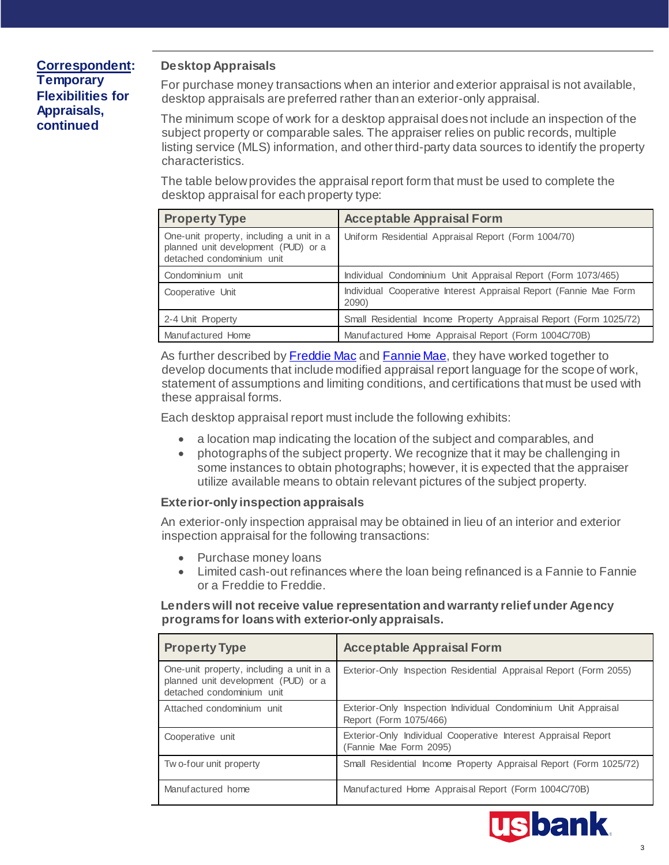# **Correspondent: Temporary Flexibilities for Appraisals, continued**

## **Desktop Appraisals**

For purchase money transactions when an interior and exterior appraisal is not available, desktop appraisals are preferred rather than an exterior-only appraisal.

The minimum scope of work for a desktop appraisal does not include an inspection of the subject property or comparable sales. The appraiser relies on public records, multiple listing service (MLS) information, and other third-party data sources to identify the property characteristics.

The table below provides the appraisal report form that must be used to complete the desktop appraisal for each property type:

| <b>Property Type</b>                                                                                         | <b>Acceptable Appraisal Form</b>                                           |
|--------------------------------------------------------------------------------------------------------------|----------------------------------------------------------------------------|
| One-unit property, including a unit in a<br>planned unit development (PUD) or a<br>detached condominium unit | Uniform Residential Appraisal Report (Form 1004/70)                        |
| Condominium unit                                                                                             | Individual Condominium Unit Appraisal Report (Form 1073/465)               |
| Cooperative Unit                                                                                             | Individual Cooperative Interest Appraisal Report (Fannie Mae Form<br>2090) |
| 2-4 Unit Property                                                                                            | Small Residential Income Property Appraisal Report (Form 1025/72)          |
| Manufactured Home                                                                                            | Manufactured Home Appraisal Report (Form 1004C/70B)                        |

As further described by **Freddie Mac** and **Fannie Mae**, they have worked together to develop documents that include modified appraisal report language for the scope of work, statement of assumptions and limiting conditions, and certifications that must be used with these appraisal forms.

Each desktop appraisal report must include the following exhibits:

- a location map indicating the location of the subject and comparables, and
- photographs of the subject property. We recognize that it may be challenging in some instances to obtain photographs; however, it is expected that the appraiser utilize available means to obtain relevant pictures of the subject property.

## **Exterior-only inspection appraisals**

An exterior-only inspection appraisal may be obtained in lieu of an interior and exterior inspection appraisal for the following transactions:

- Purchase money loans
- Limited cash-out refinances where the loan being refinanced is a Fannie to Fannie or a Freddie to Freddie.

## **Lenders will not receive value representation and warranty relief under Agency programs for loans with exterior-only appraisals.**

| <b>Property Type</b>                                                                                         | <b>Acceptable Appraisal Form</b>                                                         |  |
|--------------------------------------------------------------------------------------------------------------|------------------------------------------------------------------------------------------|--|
| One-unit property, including a unit in a<br>planned unit development (PUD) or a<br>detached condominium unit | Exterior-Only Inspection Residential Appraisal Report (Form 2055)                        |  |
| Attached condominium unit                                                                                    | Exterior-Only Inspection Individual Condominium Unit Appraisal<br>Report (Form 1075/466) |  |
| Cooperative unit                                                                                             | Exterior-Only Individual Cooperative Interest Appraisal Report<br>(Fannie Mae Form 2095) |  |
| Tw o-four unit property                                                                                      | Small Residential Income Property Appraisal Report (Form 1025/72)                        |  |
| Manufactured home                                                                                            | Manufactured Home Appraisal Report (Form 1004C/70B)                                      |  |

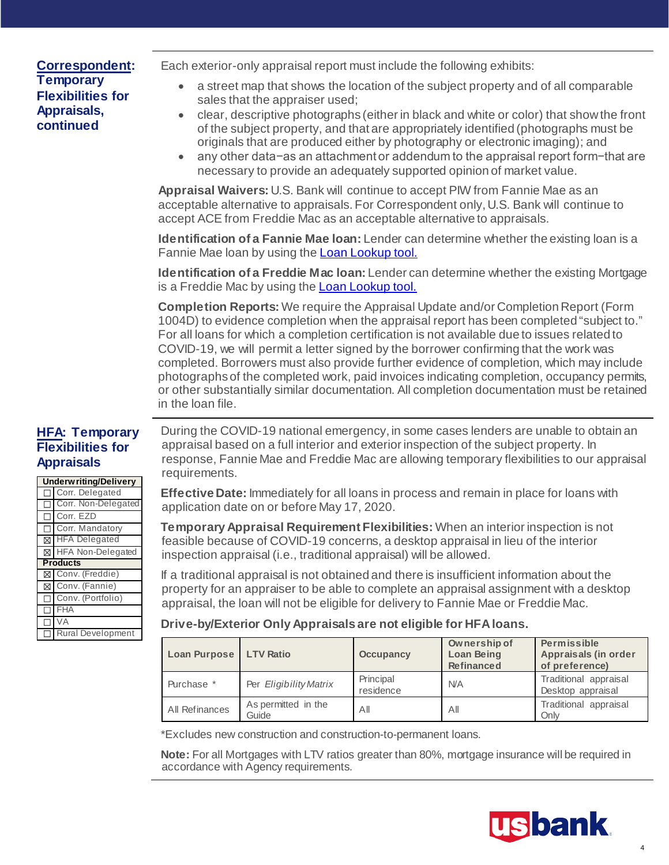# **Correspondent: Temporary Flexibilities for Appraisals, continued**

Each exterior-only appraisal report must include the following exhibits:

- a street map that shows the location of the subject property and of all comparable sales that the appraiser used;
- clear, descriptive photographs (either in black and white or color) that show the front of the subject property, and that are appropriately identified (photographs must be originals that are produced either by photography or electronic imaging); and
- any other data−as an attachment or addendum to the appraisal report form−that are necessary to provide an adequately supported opinion of market value.

**Appraisal Waivers:** U.S. Bank will continue to accept PIW from Fannie Mae as an acceptable alternative to appraisals. For Correspondent only, U.S. Bank will continue to accept ACE from Freddie Mac as an acceptable alternative to appraisals.

**Identification of a Fannie Mae loan:** Lender can determine whether the existing loan is a Fannie Mae loan by using the **Loan Lookup tool.** 

**Identification of a Freddie Mac loan:** Lender can determine whether the existing Mortgage is a Freddie Mac by using th[e Loan Lookup tool.](https://ww3.freddiemac.com/loanlookup/)

**Completion Reports:** We require the Appraisal Update and/or Completion Report (Form 1004D) to evidence completion when the appraisal report has been completed "subject to." For all loans for which a completion certification is not available due to issues related to COVID-19, we will permit a letter signed by the borrower confirming that the work was completed. Borrowers must also provide further evidence of completion, which may include photographs of the completed work, paid invoices indicating completion, occupancy permits, or other substantially similar documentation. All completion documentation must be retained in the loan file.

# <span id="page-3-0"></span>**HFA: Temporary Flexibilities for Appraisals**

|   | <b>Underwriting/Delivery</b> |
|---|------------------------------|
|   | Corr. Delegated              |
|   | Corr. Non-Delegated          |
|   | Corr. EZD                    |
|   | Corr. Mandatory              |
|   | <b>⊠</b> HFA Delegated       |
|   | ⊠ HFA Non-Delegated          |
|   |                              |
|   | <b>Products</b>              |
|   | ⊠ Conv. (Freddie)            |
|   | <b>⊠</b> Conv. (Fannie)      |
|   | Conv. (Portfolio)            |
| Ō | <b>FHA</b>                   |
|   | VA<br>Rural Development      |

During the COVID-19 national emergency, in some cases lenders are unable to obtain an appraisal based on a full interior and exterior inspection of the subject property. In response, Fannie Mae and Freddie Mac are allowing temporary flexibilities to our appraisal requirements.

**Effective Date:** Immediately for all loans in process and remain in place for loans with application date on or before May 17, 2020.

**Temporary Appraisal Requirement Flexibilities:** When an interior inspection is not feasible because of COVID-19 concerns, a desktop appraisal in lieu of the interior inspection appraisal (i.e., traditional appraisal) will be allowed.

If a traditional appraisal is not obtained and there is insufficient information about the property for an appraiser to be able to complete an appraisal assignment with a desktop appraisal, the loan will not be eligible for delivery to Fannie Mae or Freddie Mac.

**Drive-by/Exterior Only Appraisals are not eligible for HFA loans.** 

| Loan Purpose   | <b>LTV Ratio</b>             | <b>Occupancy</b>       | Ownership of<br><b>Loan Being</b><br><b>Refinanced</b> | <b>Permissible</b><br>Appraisals (in order<br>of preference) |
|----------------|------------------------------|------------------------|--------------------------------------------------------|--------------------------------------------------------------|
| Purchase *     | Per Eligibility Matrix       | Principal<br>residence | N/A                                                    | Traditional appraisal<br>Desktop appraisal                   |
| All Refinances | As permitted in the<br>Guide | Αll                    | Αll                                                    | Traditional appraisal<br>Only                                |

\*Excludes new construction and construction-to-permanent loans.

**Note:** For all Mortgages with LTV ratios greater than 80%, mortgage insurance will be required in accordance with Agency requirements.

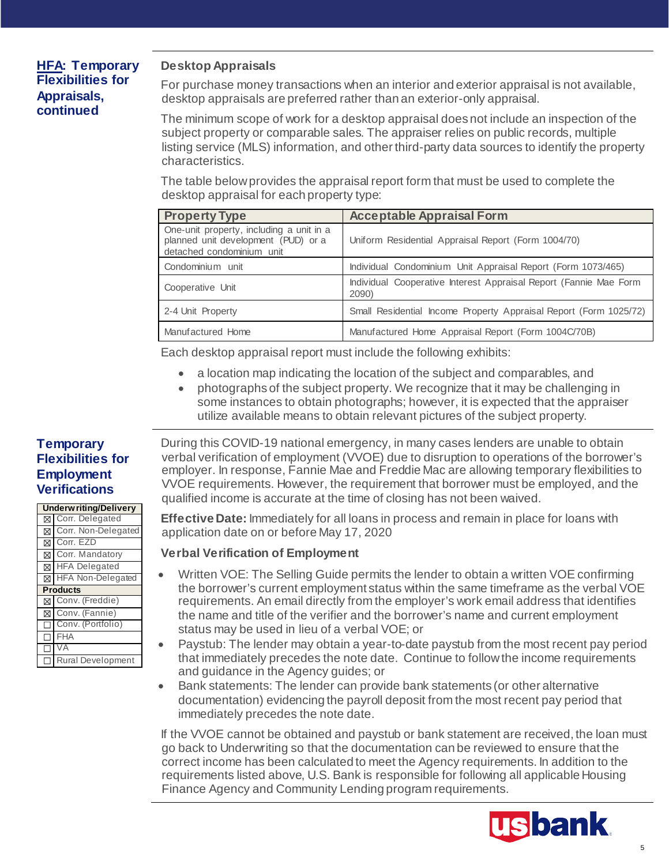# **HFA: Temporary Flexibilities for Appraisals, continued**

## **Desktop Appraisals**

For purchase money transactions when an interior and exterior appraisal is not available, desktop appraisals are preferred rather than an exterior-only appraisal.

The minimum scope of work for a desktop appraisal does not include an inspection of the subject property or comparable sales. The appraiser relies on public records, multiple listing service (MLS) information, and other third-party data sources to identify the property characteristics.

The table below provides the appraisal report form that must be used to complete the desktop appraisal for each property type:

| <b>Property Type</b>                                                                                         | <b>Acceptable Appraisal Form</b>                                           |
|--------------------------------------------------------------------------------------------------------------|----------------------------------------------------------------------------|
| One-unit property, including a unit in a<br>planned unit development (PUD) or a<br>detached condominium unit | Uniform Residential Appraisal Report (Form 1004/70)                        |
| Condominium unit                                                                                             | Individual Condominium Unit Appraisal Report (Form 1073/465)               |
| Cooperative Unit                                                                                             | Individual Cooperative Interest Appraisal Report (Fannie Mae Form<br>2090) |
| 2-4 Unit Property                                                                                            | Small Residential Income Property Appraisal Report (Form 1025/72)          |
| Manufactured Home                                                                                            | Manufactured Home Appraisal Report (Form 1004C/70B)                        |

Each desktop appraisal report must include the following exhibits:

- a location map indicating the location of the subject and comparables, and
- photographs of the subject property. We recognize that it may be challenging in some instances to obtain photographs; however, it is expected that the appraiser utilize available means to obtain relevant pictures of the subject property.

# <span id="page-4-0"></span>**Temporary Flexibilities for Employment Verifications**

|        | <b>Underwriting/Delivery</b>   |
|--------|--------------------------------|
|        | ⊠ Corr. Delegated              |
|        | ⊠ Corr. Non-Delegated          |
|        | ⊠ Corr. EZD                    |
|        | ⊠ Corr. Mandatory              |
|        | <b>区 HFA Delegated</b>         |
|        | <b>⊠</b> HFA Non-Delegated     |
|        |                                |
|        | <b>Products</b>                |
|        | ⊠ Conv. (Freddie)              |
|        | Conv. (Fannie)                 |
|        | □ Conv. (Portfolio)            |
| $\Box$ | FHA                            |
|        | <b>VA</b><br>Rural Development |

During this COVID-19 national emergency, in many cases lenders are unable to obtain verbal verification of employment (VVOE) due to disruption to operations of the borrower's employer. In response, Fannie Mae and Freddie Mac are allowing temporary flexibilities to VVOE requirements. However, the requirement that borrower must be employed, and the qualified income is accurate at the time of closing has not been waived.

**Effective Date:** Immediately for all loans in process and remain in place for loans with application date on or before May 17, 2020

# **Verbal Verification of Employment**

- Written VOE: The Selling Guide permits the lender to obtain a written VOE confirming the borrower's current employment status within the same timeframe as the verbal VOE requirements. An email directly from the employer's work email address that identifies the name and title of the verifier and the borrower's name and current employment status may be used in lieu of a verbal VOE; or
- Paystub: The lender may obtain a year-to-date paystub from the most recent pay period that immediately precedes the note date. Continue to follow the income requirements and guidance in the Agency guides; or
- Bank statements: The lender can provide bank statements (or other alternative documentation) evidencing the payroll deposit from the most recent pay period that immediately precedes the note date.

If the VVOE cannot be obtained and paystub or bank statement are received, the loan must go back to Underwriting so that the documentation can be reviewed to ensure that the correct income has been calculated to meet the Agency requirements. In addition to the requirements listed above, U.S. Bank is responsible for following all applicable Housing Finance Agency and Community Lending program requirements.

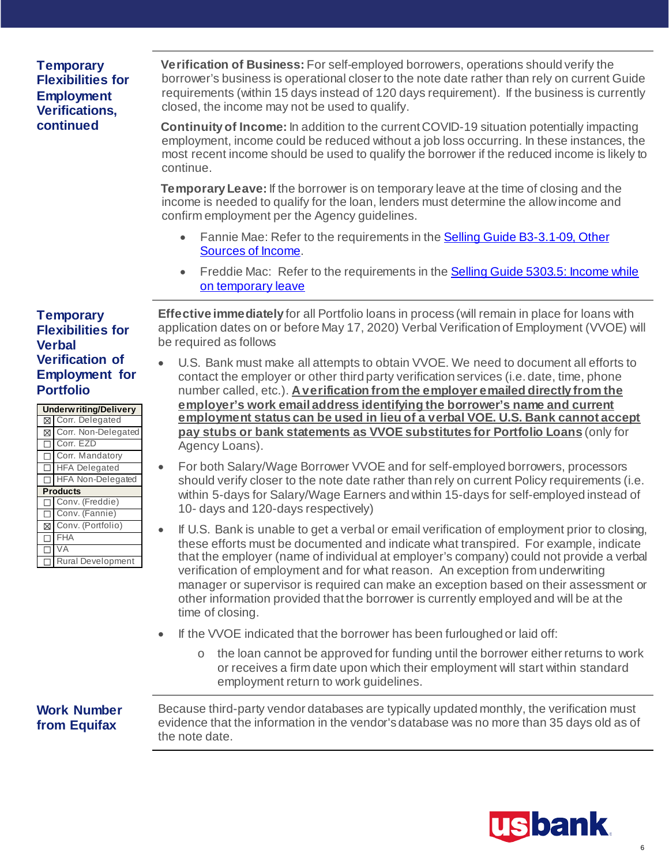# **Temporary Flexibilities for Employment Verifications, continued**

**Verification of Business:** For self-employed borrowers, operations should verify the borrower's business is operational closer to the note date rather than rely on current Guide requirements (within 15 days instead of 120 days requirement). If the business is currently closed, the income may not be used to qualify.

**Continuity of Income:** In addition to the current COVID-19 situation potentially impacting employment, income could be reduced without a job loss occurring. In these instances, the most recent income should be used to qualify the borrower if the reduced income is likely to continue.

**Temporary Leave:** If the borrower is on temporary leave at the time of closing and the income is needed to qualify for the loan, lenders must determine the allow income and confirm employment per the Agency guidelines.

- Fannie Mae: Refer to the requirements in the Selling Guide B3-3.1-09, Other [Sources of Income.](http://www.allregs.com/aong/main.aspx?did=003916232@part_b!b3!b3ch03!b3ch03s01!b0059)
- Freddie Mac: Refer to the requirements in the Selling Guide 5303.5: Income while on [temporary](http://www.allregs.com/aong/main.aspx?did=003911412@ser-5000!topic-5300!ch-5303!n5303.5) leave

**Effective immediately** for all Portfolio loans in process (will remain in place for loans with application dates on or before May 17, 2020) Verbal Verification of Employment (VVOE) will be required as follows

- U.S. Bank must make all attempts to obtain VVOE. We need to document all efforts to contact the employer or other third party verification services (i.e. date, time, phone number called, etc.). **A verification from the employer emailed directly from the employer's work email address identifying the borrower's name and current employment status can be used in lieu of a verbal VOE. U.S. Bank cannot accept pay stubs or bank statements as VVOE substitutes for Portfolio Loans** (only for Agency Loans).
- For both Salary/Wage Borrower VVOE and for self-employed borrowers, processors should verify closer to the note date rather than rely on current Policy requirements (i.e. within 5-days for Salary/Wage Earners and within 15-days for self-employed instead of 10- days and 120-days respectively)
- If U.S. Bank is unable to get a verbal or email verification of employment prior to closing, these efforts must be documented and indicate what transpired. For example, indicate that the employer (name of individual at employer's company) could not provide a verbal verification of employment and for what reason. An exception from underwriting manager or supervisor is required can make an exception based on their assessment or other information provided that the borrower is currently employed and will be at the time of closing.
- If the VVOE indicated that the borrower has been furloughed or laid off:
	- $\circ$  the loan cannot be approved for funding until the borrower either returns to work or receives a firm date upon which their employment will start within standard employment return to work guidelines.

Because third-party vendor databases are typically updated monthly, the verification must evidence that the information in the vendor's database was no more than 35 days old as of the note date.

# <span id="page-5-0"></span>**Temporary Flexibilities for Verbal Verification of Employment for Portfolio**

|   | <b>Underwriting/Delivery</b> |
|---|------------------------------|
|   | ⊠ Corr. Delegated            |
|   | ⊠ Corr. Non-Delegated        |
|   | □ Corr. EZD                  |
|   | Corr. Mandatory              |
|   | □ HFA Delegated              |
|   | HFA Non-Delegated            |
|   |                              |
|   | <b>Products</b>              |
|   | Conv. (Freddie)              |
|   | Conv. (Fannie)               |
|   | ⊠ Conv. (Portfolio)          |
| □ | <b>FHA</b>                   |
|   | <b>VA</b>                    |

<span id="page-5-1"></span>**Work Number from Equifax**

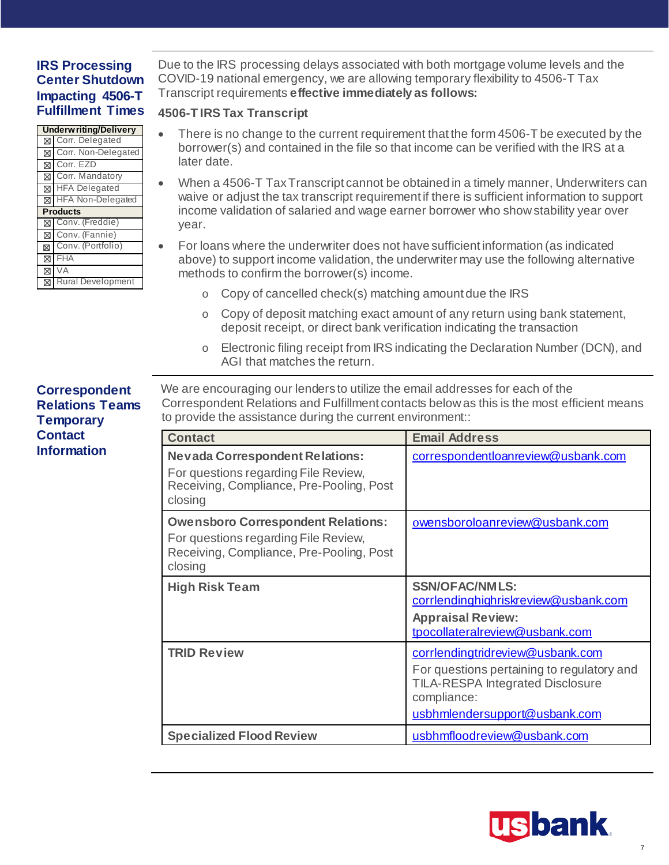# <span id="page-6-0"></span>**IRS Processing Center Shutdown Impacting 4506-T Fulfillment Times**

|   | <b>Underwriting/Delivery</b>             |
|---|------------------------------------------|
|   | ⊠ Corr. Delegated                        |
|   | ⊠ Corr. Non-Delegated                    |
|   | <b>⊠</b> Corr. EZD                       |
|   | ⊠ Corr. Mandatory                        |
|   | <b>X</b> HFA Delegated                   |
|   | <b>⊠</b> HFA Non-Delegated               |
|   |                                          |
|   | <b>Products</b>                          |
|   | ⊠ Conv. (Freddie)                        |
|   | Conv. (Fannie)                           |
|   | Conv. (Portfolio)                        |
| ⊠ | <b>FHA</b>                               |
|   | <b>⊠VA</b><br><b>冈 Rural Development</b> |

Due to the IRS processing delays associated with both mortgage volume levels and the COVID-19 national emergency, we are allowing temporary flexibility to 4506-T Tax Transcript requirements **effective immediately as follows:**

## **4506-T IRS Tax Transcript**

- There is no change to the current requirement that the form 4506-T be executed by the borrower(s) and contained in the file so that income can be verified with the IRS at a later date.
- When a 4506-T Tax Transcript cannot be obtained in a timely manner, Underwriters can waive or adjust the tax transcript requirement if there is sufficient information to support income validation of salaried and wage earner borrower who show stability year over year.
	- For loans where the underwriter does not have sufficient information (as indicated above) to support income validation, the underwriter may use the following alternative methods to confirm the borrower(s) income.
		- o Copy of cancelled check(s) matching amount due the IRS
		- $\circ$  Copy of deposit matching exact amount of any return using bank statement, deposit receipt, or direct bank verification indicating the transaction
		- o Electronic filing receipt from IRS indicating the Declaration Number (DCN), and AGI that matches the return.

We are encouraging our lenders to utilize the email addresses for each of the Correspondent Relations and Fulfillment contacts below as this is the most efficient means to provide the assistance during the current environment::

| <b>Contact</b>                                                                                                                           | <b>Email Address</b>                                                                                                                                                      |
|------------------------------------------------------------------------------------------------------------------------------------------|---------------------------------------------------------------------------------------------------------------------------------------------------------------------------|
| <b>Nevada Correspondent Relations:</b><br>For questions regarding File Review,<br>Receiving, Compliance, Pre-Pooling, Post<br>closing    | correspondentloanreview@usbank.com                                                                                                                                        |
| <b>Owensboro Correspondent Relations:</b><br>For questions regarding File Review,<br>Receiving, Compliance, Pre-Pooling, Post<br>closing | owensboroloanreview@usbank.com                                                                                                                                            |
| <b>High Risk Team</b>                                                                                                                    | <b>SSN/OFAC/NMLS:</b><br>corrlendinghighriskreview@usbank.com<br><b>Appraisal Review:</b><br>tpocollateralreview@usbank.com                                               |
| <b>TRID Review</b>                                                                                                                       | corrlendingtridreview@usbank.com<br>For questions pertaining to regulatory and<br><b>TILA-RESPA Integrated Disclosure</b><br>compliance:<br>usbhmlendersupport@usbank.com |
| <b>Specialized Flood Review</b>                                                                                                          | usbhmfloodreview@usbank.com                                                                                                                                               |



## <span id="page-6-1"></span>**Correspondent Relations Teams Temporary Contact Information**